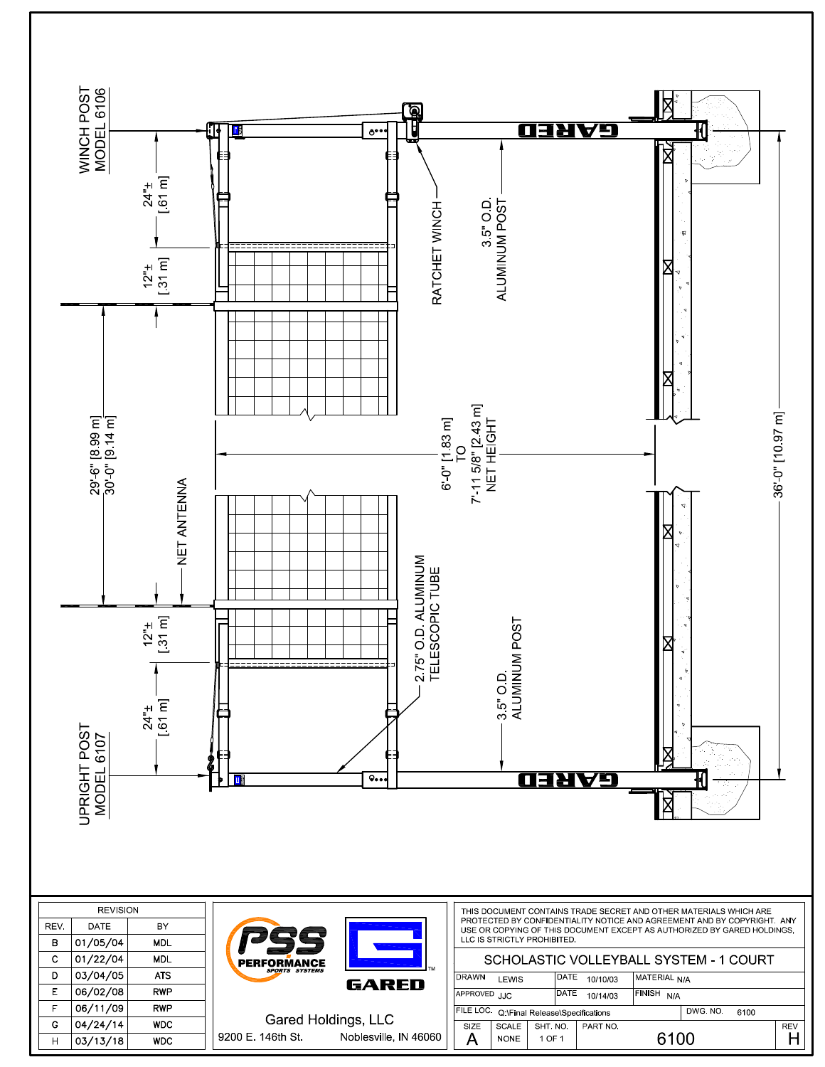